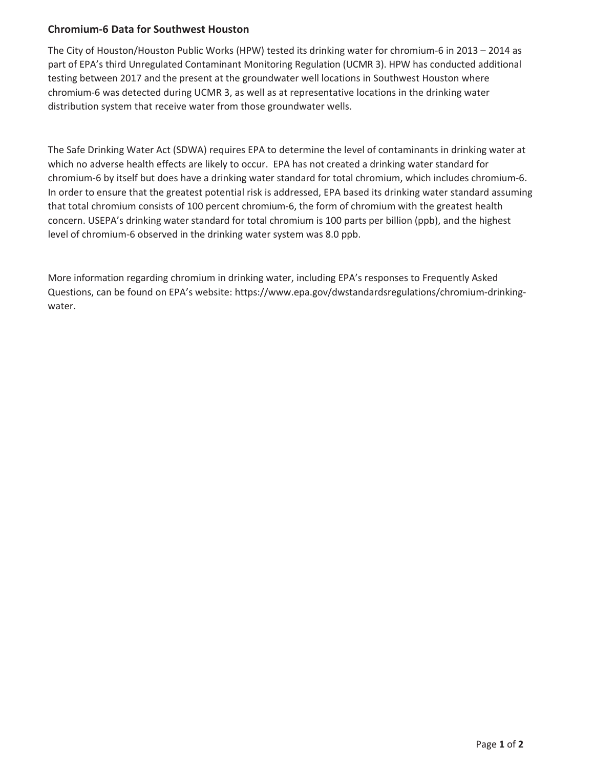## **Chromium-6 Data for Southwest Houston**

The City of Houston/Houston Public Works (HPW) tested its drinking water for chromium-6 in 2013 – 2014 as part of EPA's third Unregulated Contaminant Monitoring Regulation (UCMR 3). HPW has conducted additional testing between 2017 and the present at the groundwater well locations in Southwest Houston where chromium-6 was detected during UCMR 3, as well as at representative locations in the drinking water distribution system that receive water from those groundwater wells.

The Safe Drinking Water Act (SDWA) requires EPA to determine the level of contaminants in drinking water at which no adverse health effects are likely to occur. EPA has not created a drinking water standard for chromium-6 by itself but does have a drinking water standard for total chromium, which includes chromium-6. In order to ensure that the greatest potential risk is addressed, EPA based its drinking water standard assuming that total chromium consists of 100 percent chromium-6, the form of chromium with the greatest health concern. USEPA's drinking water standard for total chromium is 100 parts per billion (ppb), and the highest level of chromium-6 observed in the drinking water system was 8.0 ppb.

More information regarding chromium in drinking water, including EPA's responses to Frequently Asked Questions, can be found on EPA's website: https://www.epa.gov/dwstandardsregulations/chromium-drinkingwater.